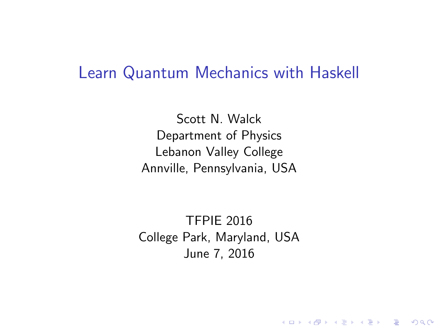#### Learn Quantum Mechanics with Haskell

Scott N. Walck Department of Physics Lebanon Valley College Annville, Pennsylvania, USA

TFPIE 2016 College Park, Maryland, USA June 7, 2016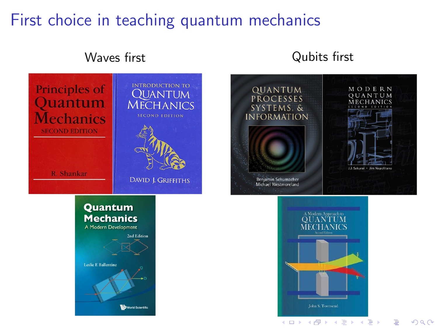## First choice in teaching quantum mechanics



#### Waves first **Waves** first





 $2Q$ 

 $\Rightarrow$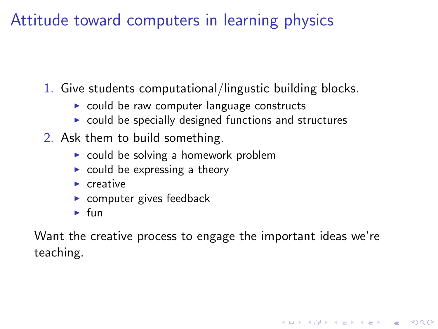## Attitude toward computers in learning physics

- 1. Give students computational/lingustic building blocks.
	- $\triangleright$  could be raw computer language constructs
	- $\triangleright$  could be specially designed functions and structures
- 2. Ask them to build something.
	- $\triangleright$  could be solving a homework problem
	- $\triangleright$  could be expressing a theory
	- $\blacktriangleright$  creative
	- $\triangleright$  computer gives feedback
	- $\blacktriangleright$  fun

Want the creative process to engage the important ideas we're teaching.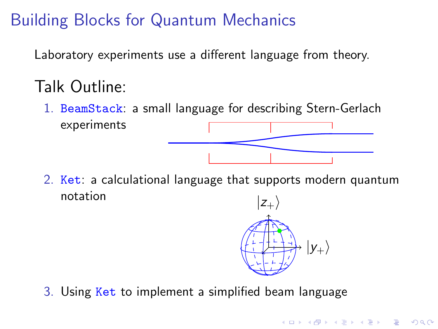# Building Blocks for Quantum Mechanics

Laboratory experiments use a different language from theory.

# Talk Outline:

1. BeamStack: a small language for describing Stern-Gerlach experiments

2. Ket: a calculational language that supports modern quantum notation



**KORKA SERKER ORA** 

3. Using Ket to implement a simplified beam language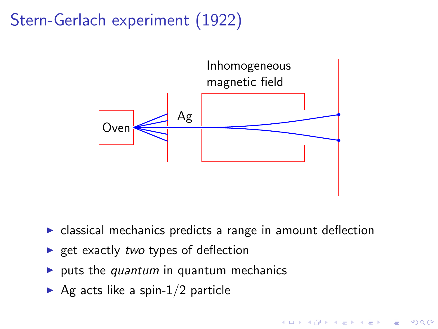# Stern-Gerlach experiment (1922)



 $\triangleright$  classical mechanics predicts a range in amount deflection

**KORK STRAIN A BAR SHOP** 

- $\triangleright$  get exactly two types of deflection
- ulgeright puts the quantum in quantum mechanics
- Ag acts like a spin- $1/2$  particle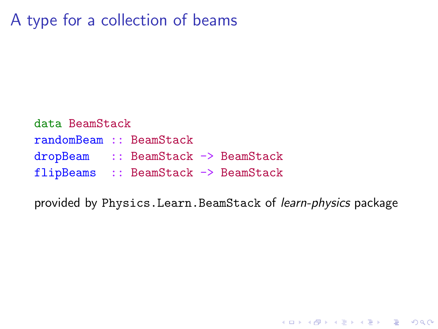## A type for a collection of beams

data BeamStack randomBeam :: BeamStack dropBeam :: BeamStack -> BeamStack flipBeams :: BeamStack -> BeamStack

provided by Physics.Learn.BeamStack of learn-physics package

K ロ ▶ K @ ▶ K 할 > K 할 > 1 할 > 1 이익어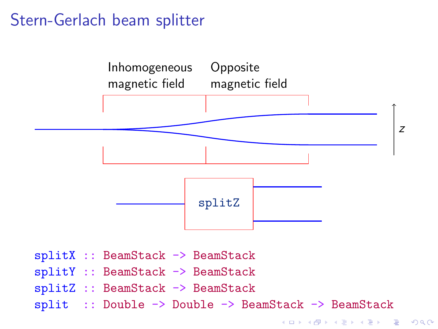#### Stern-Gerlach beam splitter

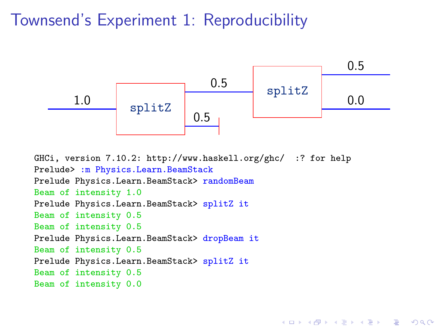#### Townsend's Experiment 1: Reproducibility



**KORKA SERKER ORA** 

GHCi, version 7.10.2: http://www.haskell.org/ghc/ :? for help Prelude> : m Physics.Learn.BeamStack Prelude Physics.Learn.BeamStack> randomBeam Beam of intensity 1.0 Prelude Physics.Learn.BeamStack> splitZ it Beam of intensity 0.5 Beam of intensity 0.5 Prelude Physics.Learn.BeamStack> dropBeam it Beam of intensity 0.5 Prelude Physics.Learn.BeamStack> splitZ it Beam of intensity 0.5 Beam of intensity 0.0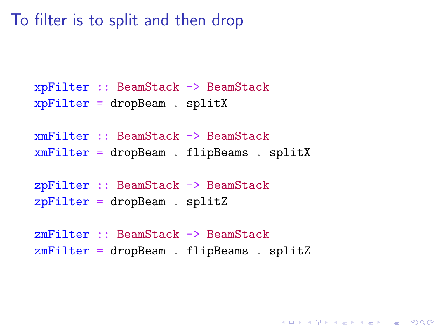To filter is to split and then drop

```
xpFilter :: BeamStack -> BeamStack
xpFilter = dropBeam . splitX
xmFilter :: BeamStack -> BeamStack
xmFilter = dropBeam . flipBeams . splitX
zpFilter :: BeamStack -> BeamStack
zpFilter = dropBeam . splitZ
zmFilter :: BeamStack -> BeamStack
zmFilter = dropBeam . flipBeams . splitZ
```
**K ロ ▶ K @ ▶ K 할 X X 할 X 및 할 X X Q Q O \***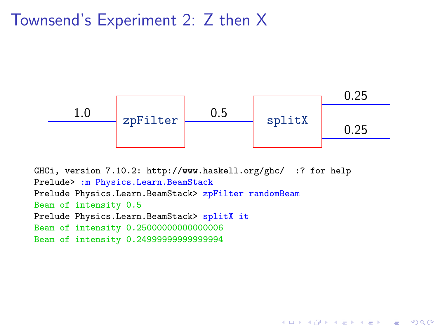#### Townsend's Experiment 2: Z then X



```
GHCi, version 7.10.2: http://www.haskell.org/ghc/ :? for help
Prelude> :m Physics.Learn.BeamStack
Prelude Physics.Learn.BeamStack> zpFilter randomBeam
Beam of intensity 0.5
Prelude Physics.Learn.BeamStack> splitX it
Beam of intensity 0.25000000000000006
Beam of intensity 0.24999999999999994
```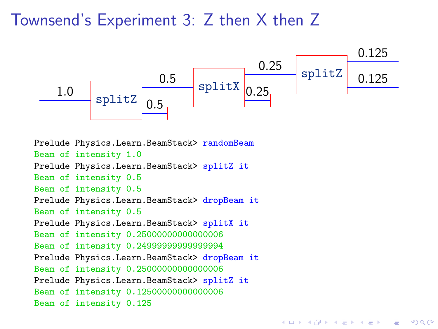#### Townsend's Experiment 3: Z then X then Z



 $QQ$ 

Prelude Physics.Learn.BeamStack> randomBeam Beam of intensity 1.0 Prelude Physics.Learn.BeamStack> splitZ it Beam of intensity 0.5 Beam of intensity 0.5 Prelude Physics.Learn.BeamStack> dropBeam it Beam of intensity 0.5 Prelude Physics.Learn.BeamStack> splitX it Beam of intensity 0.25000000000000006 Beam of intensity 0.24999999999999994 Prelude Physics.Learn.BeamStack> dropBeam it Beam of intensity 0.25000000000000006 Prelude Physics.Learn.BeamStack> splitZ it Beam of intensity 0.12500000000000006 Beam of intensity 0.125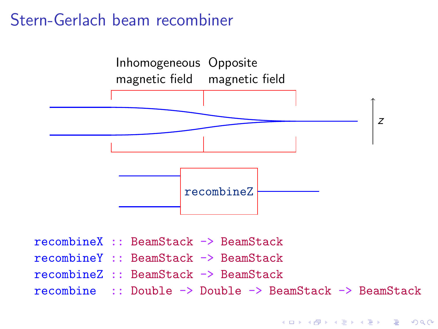#### Stern-Gerlach beam recombiner

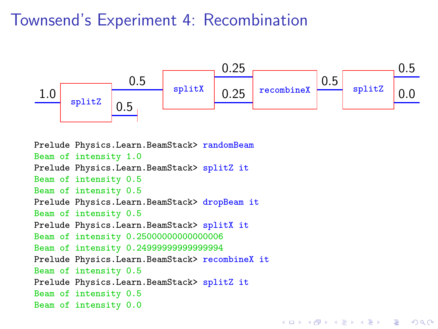#### Townsend's Experiment 4: Recombination



**KORKA SERKER ORA** 

Prelude Physics.Learn.BeamStack> randomBeam Beam of intensity 1.0 Prelude Physics.Learn.BeamStack> splitZ it Beam of intensity 0.5 Beam of intensity 0.5 Prelude Physics.Learn.BeamStack> dropBeam it Beam of intensity 0.5 Prelude Physics.Learn.BeamStack> splitX it Beam of intensity 0.25000000000000006 Beam of intensity 0.24999999999999994 Prelude Physics.Learn.BeamStack> recombineX it Beam of intensity 0.5 Prelude Physics.Learn.BeamStack> splitZ it Beam of intensity 0.5 Beam of intensity 0.0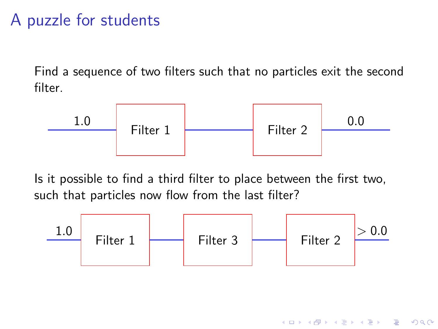#### A puzzle for students

Find a sequence of two filters such that no particles exit the second filter.



Is it possible to find a third filter to place between the first two, such that particles now flow from the last filter?

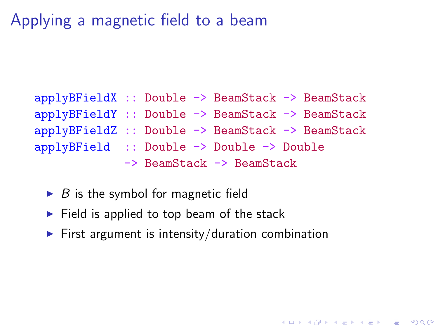## Applying a magnetic field to a beam

#### applyBFieldX :: Double -> BeamStack -> BeamStack applyBFieldY :: Double -> BeamStack -> BeamStack applyBFieldZ :: Double -> BeamStack -> BeamStack applyBField :: Double -> Double -> Double -> BeamStack -> BeamStack

- $\triangleright$  B is the symbol for magnetic field
- $\blacktriangleright$  Field is applied to top beam of the stack
- $\blacktriangleright$  First argument is intensity/duration combination

**K ロ ▶ K @ ▶ K 할 X X 할 X → 할 X → 9 Q Q ^**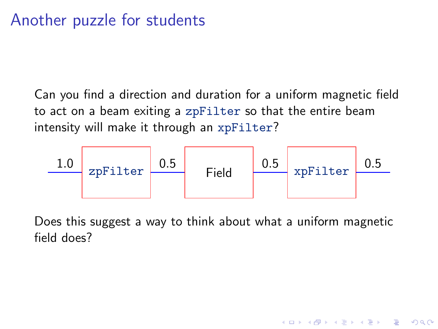#### Another puzzle for students

Can you find a direction and duration for a uniform magnetic field to act on a beam exiting a zpFilter so that the entire beam intensity will make it through an xpFilter?



Does this suggest a way to think about what a uniform magnetic field does?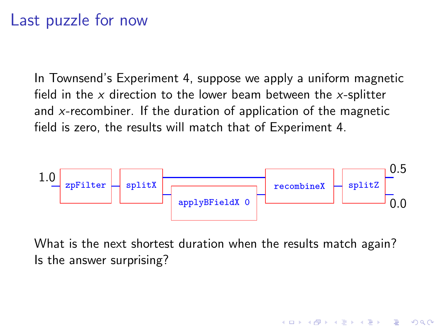#### Last puzzle for now

In Townsend's Experiment 4, suppose we apply a uniform magnetic field in the  $x$  direction to the lower beam between the  $x$ -splitter and x-recombiner. If the duration of application of the magnetic field is zero, the results will match that of Experiment 4.



What is the next shortest duration when the results match again? Is the answer surprising?

**KORKARYKERKE POLO**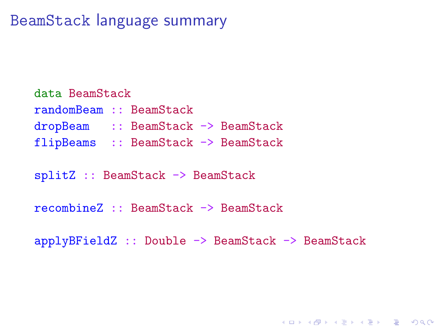#### BeamStack language summary

data BeamStack randomBeam :: BeamStack dropBeam :: BeamStack -> BeamStack flipBeams :: BeamStack -> BeamStack

splitZ :: BeamStack -> BeamStack

recombineZ :: BeamStack -> BeamStack

applyBFieldZ :: Double -> BeamStack -> BeamStack

**K ロ ▶ K @ ▶ K 할 X X 할 X → 할 X → 9 Q Q ^**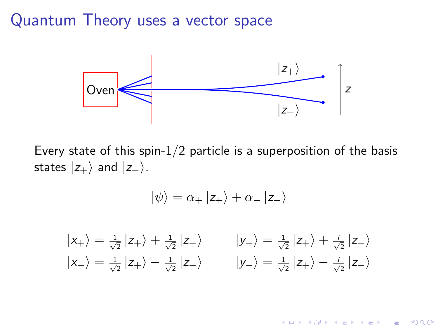#### Quantum Theory uses a vector space



Every state of this spin- $1/2$  particle is a superposition of the basis states  $|z_{+}\rangle$  and  $|z_{-}\rangle$ .

$$
|\psi\rangle = \alpha_+ |z_+\rangle + \alpha_- |z_-\rangle
$$

$$
|x_{+}\rangle = \frac{1}{\sqrt{2}} |z_{+}\rangle + \frac{1}{\sqrt{2}} |z_{-}\rangle
$$
  
\n
$$
|y_{+}\rangle = \frac{1}{\sqrt{2}} |z_{+}\rangle + \frac{i}{\sqrt{2}} |z_{-}\rangle
$$
  
\n
$$
|y_{-}\rangle = \frac{1}{\sqrt{2}} |z_{+}\rangle - \frac{i}{\sqrt{2}} |z_{-}\rangle
$$
  
\n
$$
|y_{-}\rangle = \frac{1}{\sqrt{2}} |z_{+}\rangle - \frac{i}{\sqrt{2}} |z_{-}\rangle
$$

**KORK STRAIN A BAR SHOP**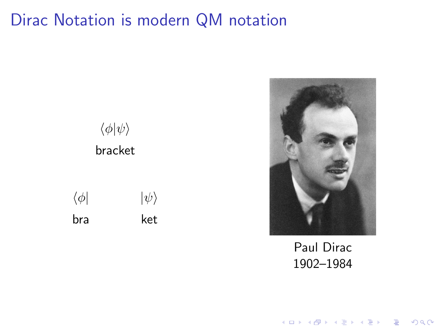## Dirac Notation is modern QM notation





Paul Dirac 1902–1984

K ロ X K (P) X (E) X (E) X (E) X (P) Q (P)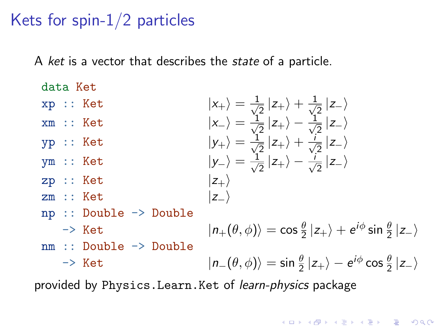#### Kets for spin-1/2 particles

A ket is a vector that describes the *state* of a particle.

data Ket  $\langle x_+ \rangle = \frac{1}{\sqrt{2}} |z_+ \rangle + \frac{1}{\sqrt{2}} |z_- \rangle$  $2$   $-7$   $\sqrt{2}$ xm :: Ket  $|x_-\rangle = \frac{1}{\sqrt{2}}$  $\frac{1}{2}$   $|z_{+}\rangle - \frac{1}{\sqrt{2}}$  $\frac{1}{2}$  |z− $\rangle$  $y$ yp :: Ket  $|y_+\rangle = \frac{1}{\sqrt{2}}$  $\frac{1}{2}$   $|z_{+}\rangle + \frac{i}{\sqrt{2}}$  $\frac{1}{2}$  |z− $\rangle$ ym :: Ket  $|y_-\rangle = \frac{1}{\sqrt{2}}$  $\frac{1}{2} |z_+\rangle - \frac{1}{\sqrt{2}}$  $\frac{1}{2}$  |z− $\rangle$  $zp :: Ket$   $|z_{+}\rangle$ zm :: Ket  $|z_-\rangle$ np :: Double -> Double  $|n_+(\theta, \phi)\rangle = \cos\frac{\theta}{2} |z_+\rangle + e^{i\phi} \sin\frac{\theta}{2} |z_-\rangle$ nm :: Double -> Double -> Ket  $|n_{-}(\theta, \phi)\rangle = \sin\frac{\theta}{2}|z_{+}\rangle - e^{i\phi}\cos\frac{\theta}{2}|z_{-}\rangle$ 

**KORK STRAIN A BAR SHOP** 

provided by Physics.Learn.Ket of learn-physics package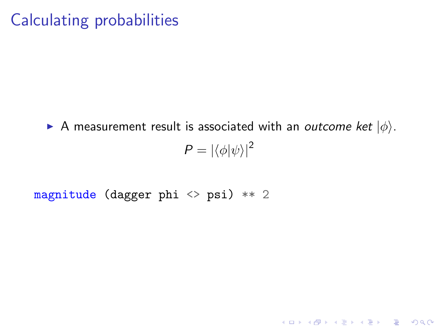#### Calculating probabilities

A measurement result is associated with an outcome ket  $|\phi\rangle$ .  $P = |\langle \phi | \psi \rangle|^2$ 

#### magnitude (dagger phi <> psi) \*\* 2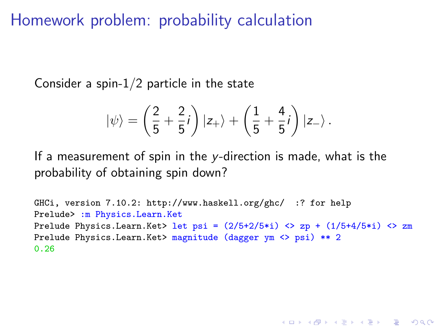Homework problem: probability calculation

Consider a spin- $1/2$  particle in the state

$$
|\psi\rangle = \left(\frac{2}{5} + \frac{2}{5}i\right)|z_+\rangle + \left(\frac{1}{5} + \frac{4}{5}i\right)|z_-\rangle.
$$

If a measurement of spin in the y-direction is made, what is the probability of obtaining spin down?

```
GHCi, version 7.10.2: http://www.haskell.org/ghc/ :? for help
Prelude> :m Physics.Learn.Ket
Prelude Physics.Learn.Ket> let psi = (2/5+2/5<i>i</i>) <> zp + (1/5+4/5<i>i</i>) <> zm
Prelude Physics.Learn.Ket> magnitude (dagger ym <> psi) ** 2
0.26
```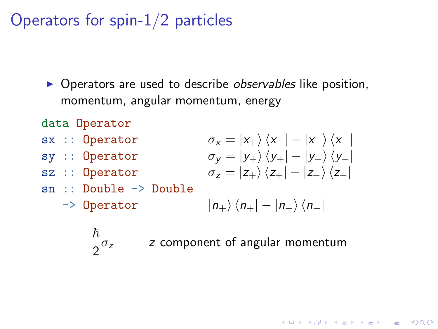Operators for spin-1/2 particles

- $\triangleright$  Operators are used to describe *observables* like position, momentum, angular momentum, energy
- data Operator
- sx :: Operator
- sy :: Operator
- sz :: Operator
- sn :: Double -> Double
	- -> Operator

$$
\sigma_{x} = |x_{+}\rangle \langle x_{+}| - |x_{-}\rangle \langle x_{-}|
$$
  
\n
$$
\sigma_{y} = |y_{+}\rangle \langle y_{+}| - |y_{-}\rangle \langle y_{-}|
$$
  
\n
$$
\sigma_{z} = |z_{+}\rangle \langle z_{+}| - |z_{-}\rangle \langle z_{-}|
$$

**K ロ ▶ K @ ▶ K 할 X X 할 X → 할 X → 9 Q Q ^** 

$$
\ket{n_+}\bra{n_+}-\ket{n_-}\bra{n_-}
$$

 $\hbar$ 

 $\frac{1}{2}\sigma_z$  z component of angular momentum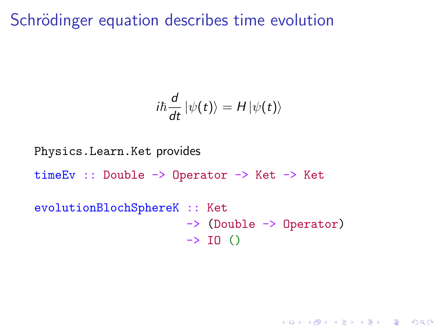Schrödinger equation describes time evolution

$$
i\hbar \frac{d}{dt} |\psi(t)\rangle = H |\psi(t)\rangle
$$

**K ロ ▶ K @ ▶ K 할 X X 할 X → 할 X → 9 Q Q ^** 

Physics.Learn.Ket provides timeEv :: Double -> Operator -> Ket -> Ket evolutionBlochSphereK :: Ket -> (Double -> Operator)  $\rightarrow$  IO ()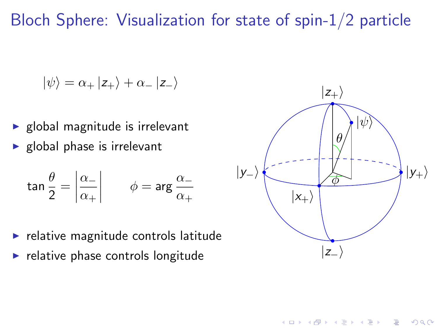Bloch Sphere: Visualization for state of spin-1/2 particle

$$
|\psi\rangle=\alpha_{+}\,|z_{+}\rangle+\alpha_{-}\,|z_{-}\rangle
$$

- $\blacktriangleright$  global magnitude is irrelevant
- $\blacktriangleright$  global phase is irrelevant

$$
\tan\frac{\theta}{2} = \left|\frac{\alpha_-}{\alpha_+}\right| \qquad \phi = \arg\frac{\alpha_-}{\alpha_+}
$$

- $\blacktriangleright$  relative magnitude controls latitude
- $\blacktriangleright$  relative phase controls longitude



 $4$  ロ )  $4$   $\overline{r}$  )  $4$   $\overline{z}$  )  $4$   $\overline{z}$  )

 $\Rightarrow$ 

 $2990$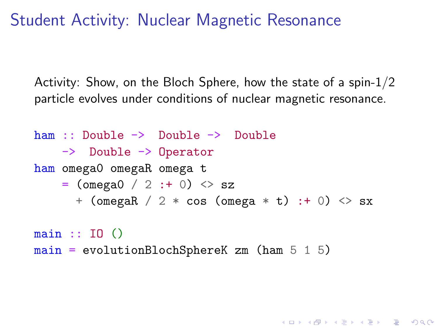Student Activity: Nuclear Magnetic Resonance

Activity: Show, on the Bloch Sphere, how the state of a spin-1/2 particle evolves under conditions of nuclear magnetic resonance.

ham :: Double -> Double -> Double -> Double -> Operator ham omega0 omegaR omega t  $=$  (omega0 / 2 : + 0)  $\langle$  sz + (omegaR / 2 \* cos (omega \* t) :+ 0) <> sx

**K ロ ▶ K @ ▶ K 할 X X 할 X 및 할 X X Q Q O** 

 $main :: TO$   $()$  $main = evolutionBlockSphereK \text{ zm}$  (ham  $5 \text{ 1 } 5$ )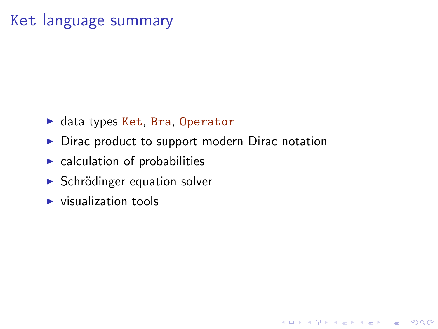#### Ket language summary

- $\blacktriangleright$  data types Ket, Bra, Operator
- $\triangleright$  Dirac product to support modern Dirac notation

**K ロ ▶ K @ ▶ K 할 X X 할 X 및 할 X X Q Q O** 

- $\blacktriangleright$  calculation of probabilities
- $\triangleright$  Schrödinger equation solver
- $\blacktriangleright$  visualization tools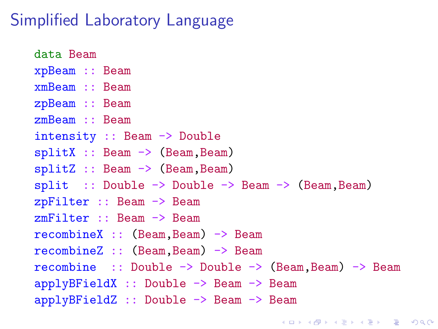#### Simplified Laboratory Language

data Beam xpBeam :: Beam xmBeam :: Beam zpBeam :: Beam zmBeam :: Beam intensity :: Beam -> Double  $splitX :: Beam \rightarrow (Beam, Beam)$  $splitZ :: Beam \rightarrow (Beam, Beam)$  $split$  :: Double  $\rightarrow$  Double  $\rightarrow$  Beam  $\rightarrow$  (Beam, Beam) zpFilter :: Beam -> Beam zmFilter :: Beam -> Beam recombineX :: (Beam,Beam) -> Beam recombineZ :: (Beam,Beam) -> Beam recombine :: Double -> Double -> (Beam,Beam) -> Beam applyBFieldX :: Double -> Beam -> Beam applyBFieldZ :: Double -> Beam -> Beam